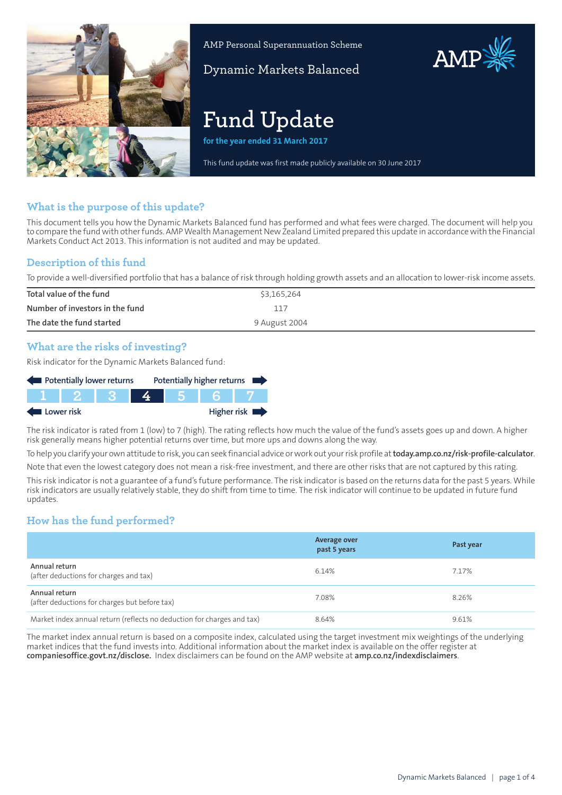

AMP Personal Superannuation Scheme

Dynamic Markets Balanced

# **Fund Update**

**for the year ended 31 March 2017**

This fund update was first made publicly available on 30 June 2017

# **What is the purpose of this update?**

This document tells you how the Dynamic Markets Balanced fund has performed and what fees were charged. The document will help you to compare the fund with other funds. AMP Wealth Management New Zealand Limited prepared this update in accordance with the Financial Markets Conduct Act 2013. This information is not audited and may be updated.

# **Description of this fund**

To provide a well-diversified portfolio that has a balance of risk through holding growth assets and an allocation to lower-risk income assets.

| Total value of the fund         | \$3,165,264   |
|---------------------------------|---------------|
| Number of investors in the fund | 117           |
| The date the fund started       | 9 August 2004 |

# **What are the risks of investing?**

Risk indicator for the Dynamic Markets Balanced fund:



The risk indicator is rated from 1 (low) to 7 (high). The rating reflects how much the value of the fund's assets goes up and down. A higher risk generally means higher potential returns over time, but more ups and downs along the way.

To help you clarify your own attitude to risk, you can seek financial advice orwork out yourrisk profile at**[today.amp.co.nz/risk-profile-calculator](http://today.amp.co.nz/risk-profile-calculator)**.

Note that even the lowest category does not mean a risk-free investment, and there are other risks that are not captured by this rating.

This risk indicator is not a guarantee of a fund's future performance. The risk indicator is based on the returns data for the past 5 years. While risk indicators are usually relatively stable, they do shift from time to time. The risk indicator will continue to be updated in future fund updates.

# **How has the fund performed?**

|                                                                        | Average over<br>past 5 years | Past year |
|------------------------------------------------------------------------|------------------------------|-----------|
| Annual return<br>(after deductions for charges and tax)                | 6.14%                        | 7.17%     |
| Annual return<br>(after deductions for charges but before tax)         | 7.08%                        | 8.26%     |
| Market index annual return (reflects no deduction for charges and tax) | 8.64%                        | 9.61%     |

The market index annual return is based on a composite index, calculated using the target investment mix weightings of the underlying market indices that the fund invests into. Additional information about the market index is available on the offer register at **[companiesoffice.govt.nz/disclose](http://companiesoffice.govt.nz/disclose).** Index disclaimers can be found on the AMP website at **[amp.co.nz/indexdisclaimers](http://amp.co.nz/indexdisclaimers)**.

AMP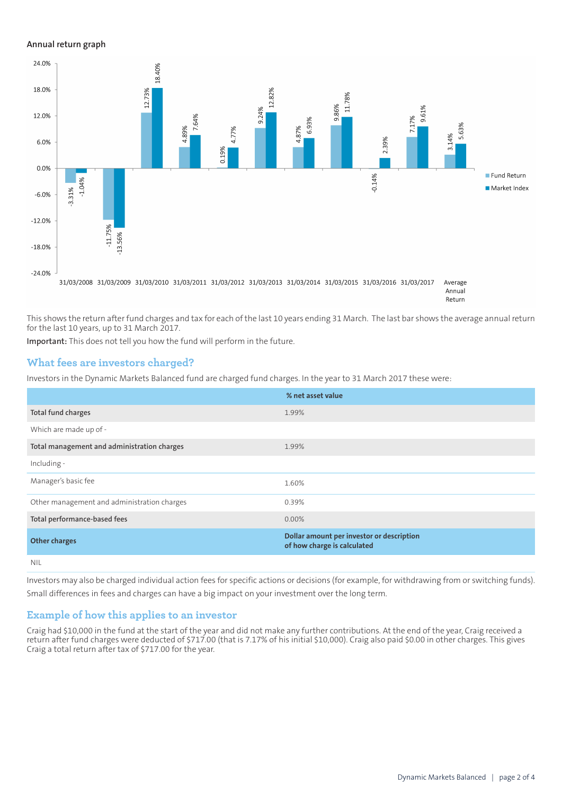#### **Annual return graph**



This shows the return after fund charges and tax for each of the last 10 years ending 31 March. The last bar shows the average annual return for the last 10 years, up to 31 March 2017.

**Important:** This does not tell you how the fund will perform in the future.

## **What fees are investors charged?**

Investors in the Dynamic Markets Balanced fund are charged fund charges. In the year to 31 March 2017 these were:

|                                             | % net asset value                                                        |
|---------------------------------------------|--------------------------------------------------------------------------|
| Total fund charges                          | 1.99%                                                                    |
| Which are made up of -                      |                                                                          |
| Total management and administration charges | 1.99%                                                                    |
| Including -                                 |                                                                          |
| Manager's basic fee                         | 1.60%                                                                    |
| Other management and administration charges | 0.39%                                                                    |
| Total performance-based fees                | $0.00\%$                                                                 |
| <b>Other charges</b>                        | Dollar amount per investor or description<br>of how charge is calculated |
| <b>NIL</b>                                  |                                                                          |

Investors may also be charged individual action fees for specific actions or decisions (for example, for withdrawing from or switching funds). Small differences in fees and charges can have a big impact on your investment over the long term.

## **Example of how this applies to an investor**

Craig had \$10,000 in the fund at the start of the year and did not make any further contributions. At the end of the year, Craig received a return after fund charges were deducted of \$717.00 (that is 7.17% of his initial \$10,000). Craig also paid \$0.00 in other charges. This gives Craig a total return after tax of \$717.00 for the year.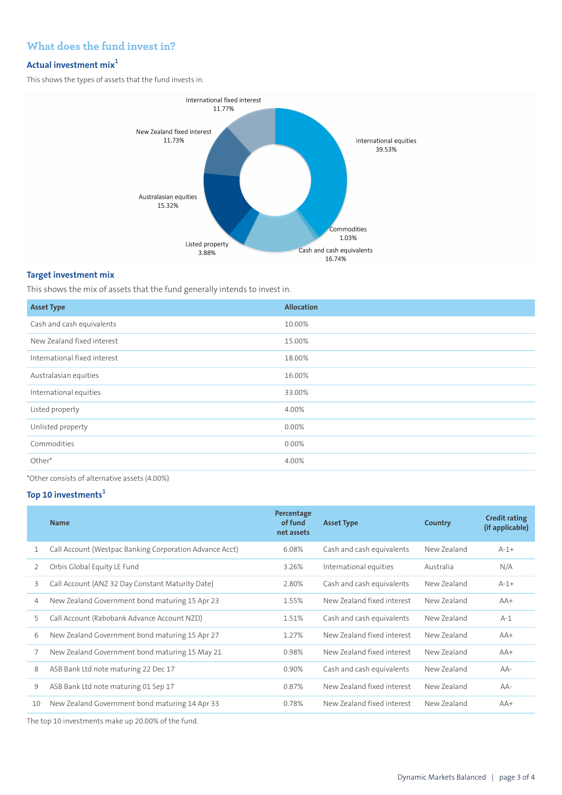# **What does the fund invest in?**

# **Actual investment mix<sup>1</sup>**

This shows the types of assets that the fund invests in.



## **Target investment mix**

This shows the mix of assets that the fund generally intends to invest in.

| <b>Asset Type</b>            | <b>Allocation</b> |
|------------------------------|-------------------|
| Cash and cash equivalents    | 10.00%            |
| New Zealand fixed interest   | 15.00%            |
| International fixed interest | 18.00%            |
| Australasian equities        | 16.00%            |
| International equities       | 33.00%            |
| Listed property              | 4.00%             |
| Unlisted property            | 0.00%             |
| Commodities                  | 0.00%             |
| Other*                       | 4.00%             |
|                              |                   |

\*Other consists of alternative assets (4.00%)

# **Top 10 investments<sup>1</sup>**

|    | <b>Name</b>                                                                                                                                                                                                                                                    | Percentage<br>of fund<br>net assets | <b>Asset Type</b>          | Country     | <b>Credit rating</b><br>(if applicable) |
|----|----------------------------------------------------------------------------------------------------------------------------------------------------------------------------------------------------------------------------------------------------------------|-------------------------------------|----------------------------|-------------|-----------------------------------------|
| 1  | Call Account (Westpac Banking Corporation Advance Acct)                                                                                                                                                                                                        | 6.08%                               | Cash and cash equivalents  | New Zealand | $A-1+$                                  |
| 2  | Orbis Global Equity LE Fund                                                                                                                                                                                                                                    | 3.26%                               | International equities     | Australia   | N/A                                     |
| 3  | Call Account (ANZ 32 Day Constant Maturity Date)                                                                                                                                                                                                               | 2.80%                               | Cash and cash equivalents  | New Zealand | $A-1+$                                  |
| 4  | New Zealand Government bond maturing 15 Apr 23                                                                                                                                                                                                                 | 1.55%                               | New Zealand fixed interest | New Zealand | $AA+$                                   |
| 5  | Call Account (Rabobank Advance Account NZD)                                                                                                                                                                                                                    | 1.51%                               | Cash and cash equivalents  | New Zealand | $A-1$                                   |
| 6  | New Zealand Government bond maturing 15 Apr 27                                                                                                                                                                                                                 | 1.27%                               | New Zealand fixed interest | New Zealand | $AA+$                                   |
| 7  | New Zealand Government bond maturing 15 May 21                                                                                                                                                                                                                 | 0.98%                               | New Zealand fixed interest | New Zealand | $AA+$                                   |
| 8  | ASB Bank Ltd note maturing 22 Dec 17                                                                                                                                                                                                                           | 0.90%                               | Cash and cash equivalents  | New Zealand | AA-                                     |
| 9  | ASB Bank Ltd note maturing 01 Sep 17                                                                                                                                                                                                                           | 0.87%                               | New Zealand fixed interest | New Zealand | AA-                                     |
| 10 | New Zealand Government bond maturing 14 Apr 33                                                                                                                                                                                                                 | 0.78%                               | New Zealand fixed interest | New Zealand | $AA+$                                   |
|    | $\pm 1$ $\pm 1$ $\pm 2$ $\pm 1$ $\pm 1$ $\pm 2$ $\pm 2$ $\pm 1$ $\pm 2$ $\pm 1$ $\pm 2$ $\pm 1$ $\pm 2$ $\pm 1$ $\pm 2$ $\pm 1$ $\pm 2$ $\pm 1$ $\pm 2$ $\pm 1$ $\pm 2$ $\pm 1$ $\pm 2$ $\pm 2$ $\pm 2$ $\pm 2$ $\pm 2$ $\pm 2$ $\pm 2$ $\pm 2$ $\pm 2$ $\pm $ |                                     |                            |             |                                         |

The top 10 investments make up 20.00% of the fund.